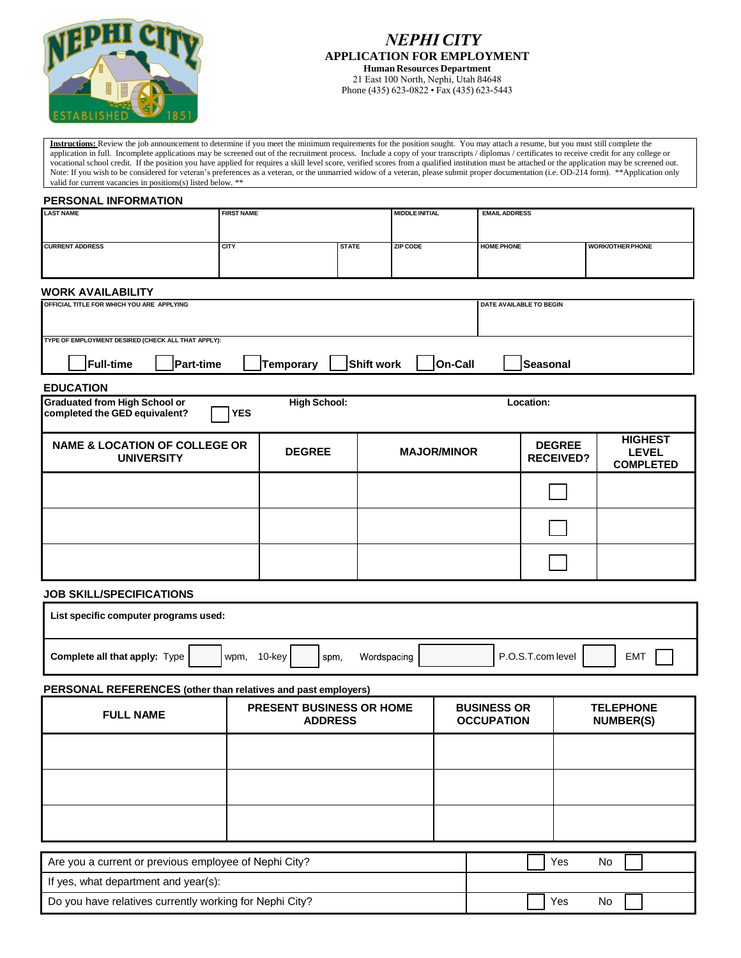

## *NEPHI CITY* **APPLICATION FOR EMPLOYMENT Human Resources Department**

21 East 100 North, Nephi, Utah 84648 Phone (435) 623-0822 • Fax (435) 623-5443

**Instructions:** Review the job announcement to determine if you meet the minimum requirements for the position sought. You may attach a resume, but you must still complete the application in full. Incomplete applications may be screened out of the recruitment process. Include a copy of your transcripts / diplomas / certificates to receive credit for any college or vocational school credit. If the position you have applied for requires a skill level score, verified scores from a qualified institution must be attached or the application may be screened out. Note: If you wish to be considered for veteran's preferences as a veteran, or the unmarried widow of a veteran, please submit proper documentation (i.e. OD-214 form). \*\*Application only valid for current vacancies in positions(s) listed below. \*\*

## **PERSONAL INFORMATION**

| <b>LAST NAME</b>                                                                                                        | <b>FIRST NAME</b>                                                    |               |                 | <b>MIDDLE INITIAL</b> |                                         | <b>EMAIL ADDRESS</b>              |                                      |                                                    |  |
|-------------------------------------------------------------------------------------------------------------------------|----------------------------------------------------------------------|---------------|-----------------|-----------------------|-----------------------------------------|-----------------------------------|--------------------------------------|----------------------------------------------------|--|
| <b>CURRENT ADDRESS</b>                                                                                                  | <b>CITY</b>                                                          | <b>STATE</b>  | <b>ZIP CODE</b> |                       | <b>HOME PHONE</b>                       |                                   |                                      | <b>WORK/OTHER PHONE</b>                            |  |
|                                                                                                                         |                                                                      |               |                 |                       |                                         |                                   |                                      |                                                    |  |
|                                                                                                                         |                                                                      |               |                 |                       |                                         |                                   |                                      |                                                    |  |
| <b>WORK AVAILABILITY</b>                                                                                                |                                                                      |               |                 |                       |                                         |                                   |                                      |                                                    |  |
|                                                                                                                         | OFFICIAL TITLE FOR WHICH YOU ARE APPLYING<br>DATE AVAILABLE TO BEGIN |               |                 |                       |                                         |                                   |                                      |                                                    |  |
| TYPE OF EMPLOYMENT DESIRED (CHECK ALL THAT APPLY):                                                                      |                                                                      |               |                 |                       |                                         |                                   |                                      |                                                    |  |
| <b>Full-time</b><br>Temporary<br><b>Shift work</b><br><b>On-Call</b><br>Part-time<br><b>Seasonal</b>                    |                                                                      |               |                 |                       |                                         |                                   |                                      |                                                    |  |
| <b>EDUCATION</b>                                                                                                        |                                                                      |               |                 |                       |                                         |                                   |                                      |                                                    |  |
| <b>Graduated from High School or</b><br><b>High School:</b><br>Location:<br><b>YES</b><br>completed the GED equivalent? |                                                                      |               |                 |                       |                                         |                                   |                                      |                                                    |  |
| <b>NAME &amp; LOCATION OF COLLEGE OR</b><br><b>UNIVERSITY</b>                                                           |                                                                      | <b>DEGREE</b> |                 | <b>MAJOR/MINOR</b>    |                                         | <b>DEGREE</b><br><b>RECEIVED?</b> |                                      | <b>HIGHEST</b><br><b>LEVEL</b><br><b>COMPLETED</b> |  |
|                                                                                                                         |                                                                      |               |                 |                       |                                         |                                   |                                      |                                                    |  |
|                                                                                                                         |                                                                      |               |                 |                       |                                         |                                   |                                      |                                                    |  |
|                                                                                                                         |                                                                      |               |                 |                       |                                         |                                   |                                      |                                                    |  |
| <b>JOB SKILL/SPECIFICATIONS</b>                                                                                         |                                                                      |               |                 |                       |                                         |                                   |                                      |                                                    |  |
| List specific computer programs used:                                                                                   |                                                                      |               |                 |                       |                                         |                                   |                                      |                                                    |  |
| Complete all that apply: Type                                                                                           | Wordspacing<br>10-key<br>spm,<br>wpm,                                |               |                 |                       | P.O.S.T.com level<br><b>EMT</b>         |                                   |                                      |                                                    |  |
| PERSONAL REFERENCES (other than relatives and past employers)                                                           |                                                                      |               |                 |                       |                                         |                                   |                                      |                                                    |  |
| <b>FULL NAME</b>                                                                                                        | PRESENT BUSINESS OR HOME<br><b>ADDRESS</b>                           |               |                 |                       | <b>BUSINESS OR</b><br><b>OCCUPATION</b> |                                   | <b>TELEPHONE</b><br><b>NUMBER(S)</b> |                                                    |  |
|                                                                                                                         |                                                                      |               |                 |                       |                                         |                                   |                                      |                                                    |  |
|                                                                                                                         |                                                                      |               |                 |                       |                                         |                                   |                                      |                                                    |  |
|                                                                                                                         |                                                                      |               |                 |                       |                                         |                                   |                                      |                                                    |  |
|                                                                                                                         |                                                                      |               |                 |                       |                                         |                                   |                                      |                                                    |  |
| Are you a current or previous employee of Nephi City?<br>Yes<br>No                                                      |                                                                      |               |                 |                       |                                         |                                   |                                      |                                                    |  |
| If yes, what department and year(s):                                                                                    |                                                                      |               |                 |                       |                                         |                                   |                                      |                                                    |  |

Do you have relatives currently working for Nephi City? The Mondon Control of the Mondon Mondon Nephi City?